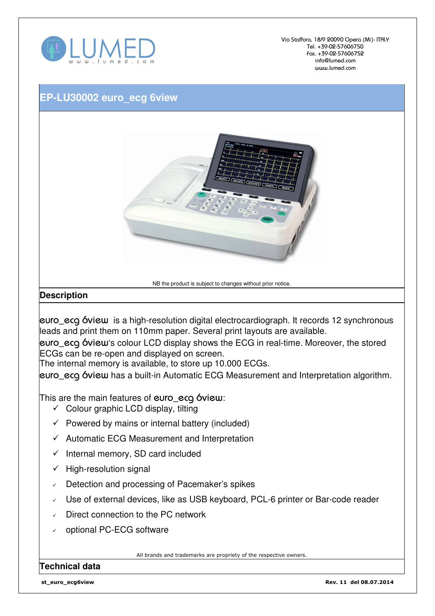

Via Staffora, 18/9 20090 Opera (Mi)- ITALY Tel. +39-02-57606750 Fax. +39-02-57606752 info@lumed.com www.lumed.com

## **EP-LU30002 euro\_ecg 6view**



NB the product is subject to changes without prior notice.

## **Description**

euro\_ecg 6view is a high-resolution digital electrocardiograph. It records 12 synchronous leads and print them on 110mm paper. Several print layouts are available.

euro\_ecg 6view's colour LCD display shows the ECG in real-time. Moreover, the stored ECGs can be re-open and displayed on screen.

The internal memory is available, to store up 10.000 ECGs.

euro\_ecg 6view has a built-in Automatic ECG Measurement and Interpretation algorithm.

This are the main features of euro ecg 6view:

- $\checkmark$  Colour graphic LCD display, tilting
- $\checkmark$  Powered by mains or internal battery (included)
- $\checkmark$  Automatic ECG Measurement and Interpretation
- $\checkmark$  Internal memory, SD card included
- $\checkmark$  High-resolution signal
- Detection and processing of Pacemaker's spikes
- Use of external devices, like as USB keyboard, PCL-6 printer or Bar-code reader
- Direct connection to the PC network
- optional PC-ECG software

All brands and trademarks are propriety of the respective owners.

## **Technical data**